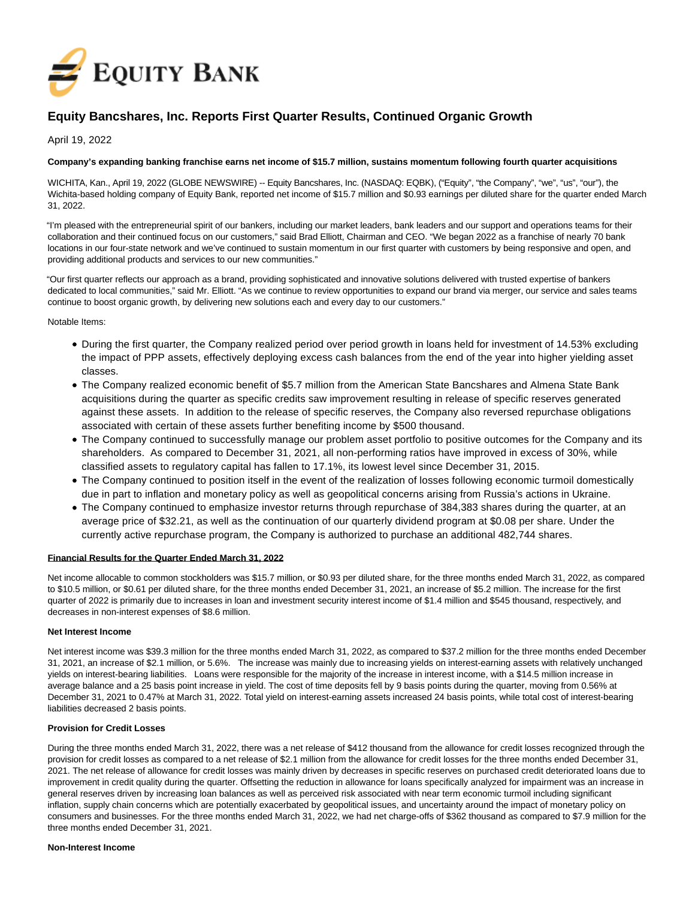

# **Equity Bancshares, Inc. Reports First Quarter Results, Continued Organic Growth**

April 19, 2022

# **Company's expanding banking franchise earns net income of \$15.7 million, sustains momentum following fourth quarter acquisitions**

WICHITA, Kan., April 19, 2022 (GLOBE NEWSWIRE) -- Equity Bancshares, Inc. (NASDAQ: EQBK), ("Equity", "the Company", "we", "us", "our"), the Wichita-based holding company of Equity Bank, reported net income of \$15.7 million and \$0.93 earnings per diluted share for the quarter ended March 31, 2022.

"I'm pleased with the entrepreneurial spirit of our bankers, including our market leaders, bank leaders and our support and operations teams for their collaboration and their continued focus on our customers," said Brad Elliott, Chairman and CEO. "We began 2022 as a franchise of nearly 70 bank locations in our four-state network and we've continued to sustain momentum in our first quarter with customers by being responsive and open, and providing additional products and services to our new communities."

"Our first quarter reflects our approach as a brand, providing sophisticated and innovative solutions delivered with trusted expertise of bankers dedicated to local communities," said Mr. Elliott. "As we continue to review opportunities to expand our brand via merger, our service and sales teams continue to boost organic growth, by delivering new solutions each and every day to our customers."

Notable Items:

- During the first quarter, the Company realized period over period growth in loans held for investment of 14.53% excluding the impact of PPP assets, effectively deploying excess cash balances from the end of the year into higher yielding asset classes.
- The Company realized economic benefit of \$5.7 million from the American State Bancshares and Almena State Bank acquisitions during the quarter as specific credits saw improvement resulting in release of specific reserves generated against these assets. In addition to the release of specific reserves, the Company also reversed repurchase obligations associated with certain of these assets further benefiting income by \$500 thousand.
- The Company continued to successfully manage our problem asset portfolio to positive outcomes for the Company and its shareholders. As compared to December 31, 2021, all non-performing ratios have improved in excess of 30%, while classified assets to regulatory capital has fallen to 17.1%, its lowest level since December 31, 2015.
- The Company continued to position itself in the event of the realization of losses following economic turmoil domestically due in part to inflation and monetary policy as well as geopolitical concerns arising from Russia's actions in Ukraine.
- The Company continued to emphasize investor returns through repurchase of 384,383 shares during the quarter, at an average price of \$32.21, as well as the continuation of our quarterly dividend program at \$0.08 per share. Under the currently active repurchase program, the Company is authorized to purchase an additional 482,744 shares.

## **Financial Results for the Quarter Ended March 31, 2022**

Net income allocable to common stockholders was \$15.7 million, or \$0.93 per diluted share, for the three months ended March 31, 2022, as compared to \$10.5 million, or \$0.61 per diluted share, for the three months ended December 31, 2021, an increase of \$5.2 million. The increase for the first quarter of 2022 is primarily due to increases in loan and investment security interest income of \$1.4 million and \$545 thousand, respectively, and decreases in non-interest expenses of \$8.6 million.

#### **Net Interest Income**

Net interest income was \$39.3 million for the three months ended March 31, 2022, as compared to \$37.2 million for the three months ended December 31, 2021, an increase of \$2.1 million, or 5.6%. The increase was mainly due to increasing yields on interest-earning assets with relatively unchanged yields on interest-bearing liabilities. Loans were responsible for the majority of the increase in interest income, with a \$14.5 million increase in average balance and a 25 basis point increase in yield. The cost of time deposits fell by 9 basis points during the quarter, moving from 0.56% at December 31, 2021 to 0.47% at March 31, 2022. Total yield on interest-earning assets increased 24 basis points, while total cost of interest-bearing liabilities decreased 2 basis points.

#### **Provision for Credit Losses**

During the three months ended March 31, 2022, there was a net release of \$412 thousand from the allowance for credit losses recognized through the provision for credit losses as compared to a net release of \$2.1 million from the allowance for credit losses for the three months ended December 31, 2021. The net release of allowance for credit losses was mainly driven by decreases in specific reserves on purchased credit deteriorated loans due to improvement in credit quality during the quarter. Offsetting the reduction in allowance for loans specifically analyzed for impairment was an increase in general reserves driven by increasing loan balances as well as perceived risk associated with near term economic turmoil including significant inflation, supply chain concerns which are potentially exacerbated by geopolitical issues, and uncertainty around the impact of monetary policy on consumers and businesses. For the three months ended March 31, 2022, we had net charge-offs of \$362 thousand as compared to \$7.9 million for the three months ended December 31, 2021.

#### **Non-Interest Income**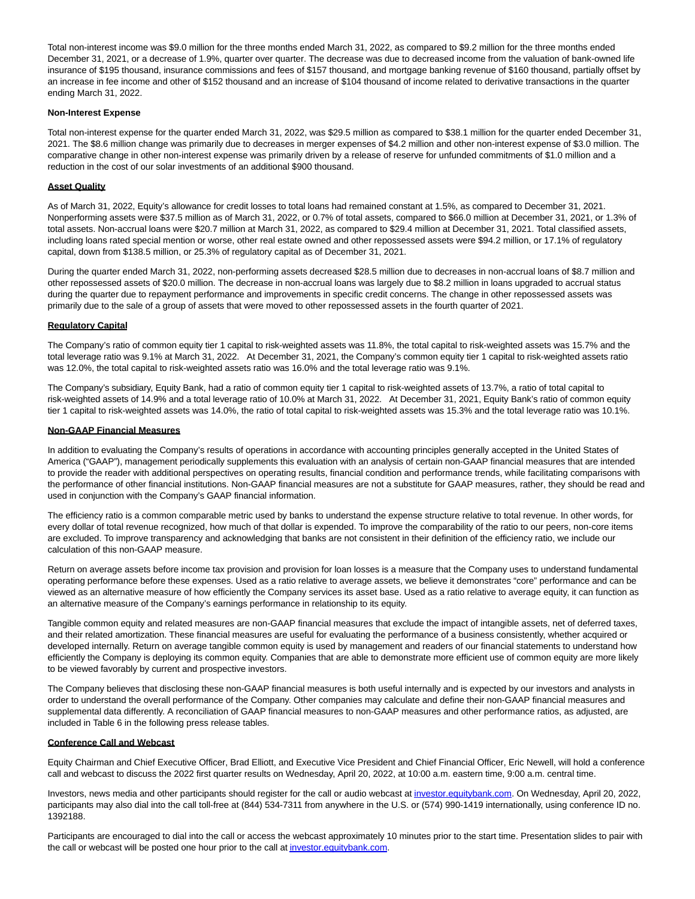Total non-interest income was \$9.0 million for the three months ended March 31, 2022, as compared to \$9.2 million for the three months ended December 31, 2021, or a decrease of 1.9%, quarter over quarter. The decrease was due to decreased income from the valuation of bank-owned life insurance of \$195 thousand, insurance commissions and fees of \$157 thousand, and mortgage banking revenue of \$160 thousand, partially offset by an increase in fee income and other of \$152 thousand and an increase of \$104 thousand of income related to derivative transactions in the quarter ending March 31, 2022.

#### **Non-Interest Expense**

Total non-interest expense for the quarter ended March 31, 2022, was \$29.5 million as compared to \$38.1 million for the quarter ended December 31, 2021. The \$8.6 million change was primarily due to decreases in merger expenses of \$4.2 million and other non-interest expense of \$3.0 million. The comparative change in other non-interest expense was primarily driven by a release of reserve for unfunded commitments of \$1.0 million and a reduction in the cost of our solar investments of an additional \$900 thousand.

#### **Asset Quality**

As of March 31, 2022, Equity's allowance for credit losses to total loans had remained constant at 1.5%, as compared to December 31, 2021. Nonperforming assets were \$37.5 million as of March 31, 2022, or 0.7% of total assets, compared to \$66.0 million at December 31, 2021, or 1.3% of total assets. Non-accrual loans were \$20.7 million at March 31, 2022, as compared to \$29.4 million at December 31, 2021. Total classified assets, including loans rated special mention or worse, other real estate owned and other repossessed assets were \$94.2 million, or 17.1% of regulatory capital, down from \$138.5 million, or 25.3% of regulatory capital as of December 31, 2021.

During the quarter ended March 31, 2022, non-performing assets decreased \$28.5 million due to decreases in non-accrual loans of \$8.7 million and other repossessed assets of \$20.0 million. The decrease in non-accrual loans was largely due to \$8.2 million in loans upgraded to accrual status during the quarter due to repayment performance and improvements in specific credit concerns. The change in other repossessed assets was primarily due to the sale of a group of assets that were moved to other repossessed assets in the fourth quarter of 2021.

## **Regulatory Capital**

The Company's ratio of common equity tier 1 capital to risk-weighted assets was 11.8%, the total capital to risk-weighted assets was 15.7% and the total leverage ratio was 9.1% at March 31, 2022. At December 31, 2021, the Company's common equity tier 1 capital to risk-weighted assets ratio was 12.0%, the total capital to risk-weighted assets ratio was 16.0% and the total leverage ratio was 9.1%.

The Company's subsidiary, Equity Bank, had a ratio of common equity tier 1 capital to risk-weighted assets of 13.7%, a ratio of total capital to risk-weighted assets of 14.9% and a total leverage ratio of 10.0% at March 31, 2022. At December 31, 2021, Equity Bank's ratio of common equity tier 1 capital to risk-weighted assets was 14.0%, the ratio of total capital to risk-weighted assets was 15.3% and the total leverage ratio was 10.1%.

## **Non-GAAP Financial Measures**

In addition to evaluating the Company's results of operations in accordance with accounting principles generally accepted in the United States of America ("GAAP"), management periodically supplements this evaluation with an analysis of certain non-GAAP financial measures that are intended to provide the reader with additional perspectives on operating results, financial condition and performance trends, while facilitating comparisons with the performance of other financial institutions. Non-GAAP financial measures are not a substitute for GAAP measures, rather, they should be read and used in conjunction with the Company's GAAP financial information.

The efficiency ratio is a common comparable metric used by banks to understand the expense structure relative to total revenue. In other words, for every dollar of total revenue recognized, how much of that dollar is expended. To improve the comparability of the ratio to our peers, non-core items are excluded. To improve transparency and acknowledging that banks are not consistent in their definition of the efficiency ratio, we include our calculation of this non-GAAP measure.

Return on average assets before income tax provision and provision for loan losses is a measure that the Company uses to understand fundamental operating performance before these expenses. Used as a ratio relative to average assets, we believe it demonstrates "core" performance and can be viewed as an alternative measure of how efficiently the Company services its asset base. Used as a ratio relative to average equity, it can function as an alternative measure of the Company's earnings performance in relationship to its equity.

Tangible common equity and related measures are non-GAAP financial measures that exclude the impact of intangible assets, net of deferred taxes, and their related amortization. These financial measures are useful for evaluating the performance of a business consistently, whether acquired or developed internally. Return on average tangible common equity is used by management and readers of our financial statements to understand how efficiently the Company is deploying its common equity. Companies that are able to demonstrate more efficient use of common equity are more likely to be viewed favorably by current and prospective investors.

The Company believes that disclosing these non-GAAP financial measures is both useful internally and is expected by our investors and analysts in order to understand the overall performance of the Company. Other companies may calculate and define their non-GAAP financial measures and supplemental data differently. A reconciliation of GAAP financial measures to non-GAAP measures and other performance ratios, as adjusted, are included in Table 6 in the following press release tables.

## **Conference Call and Webcast**

Equity Chairman and Chief Executive Officer, Brad Elliott, and Executive Vice President and Chief Financial Officer, Eric Newell, will hold a conference call and webcast to discuss the 2022 first quarter results on Wednesday, April 20, 2022, at 10:00 a.m. eastern time, 9:00 a.m. central time.

Investors, news media and other participants should register for the call or audio webcast a[t investor.equitybank.com.](https://www.globenewswire.com/Tracker?data=n9hzOIIJohSPZFgMuulZ8F5Fgnbvcrx8djjdl9CvVoorDqsvp4YK-RJhgSDoC1PkC8UPOJcwQ6I55d7Q1TOJEdyuE-_yq7aHk4f0nk9ce8Q=) On Wednesday, April 20, 2022, participants may also dial into the call toll-free at (844) 534-7311 from anywhere in the U.S. or (574) 990-1419 internationally, using conference ID no. 1392188.

Participants are encouraged to dial into the call or access the webcast approximately 10 minutes prior to the start time. Presentation slides to pair with the call or webcast will be posted one hour prior to the call a[t investor.equitybank.com.](https://www.globenewswire.com/Tracker?data=n9hzOIIJohSPZFgMuulZ8F5Fgnbvcrx8djjdl9CvVoqGJrUlpn25Qotd2iyhdJ_X2fIa0c9oGJg83SDosi37piap4D81Y7ovnfXrhDjO-0A=)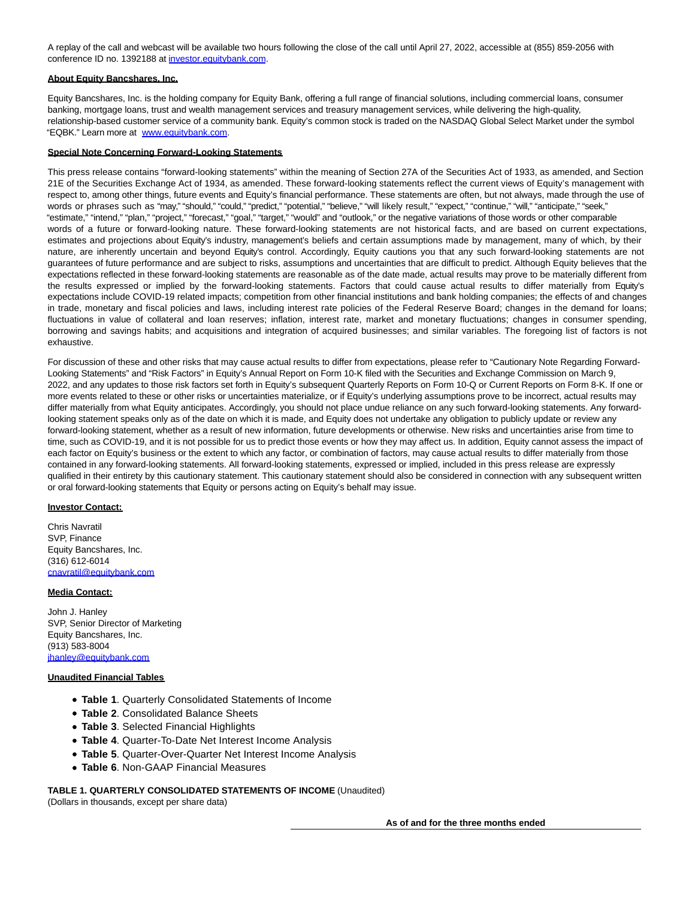A replay of the call and webcast will be available two hours following the close of the call until April 27, 2022, accessible at (855) 859-2056 with conference ID no. 1392188 at [investor.equitybank.com.](https://www.globenewswire.com/Tracker?data=n9hzOIIJohSPZFgMuulZ8F5Fgnbvcrx8djjdl9CvVooJH6MN3pNc5edb1V2Tc3cDK5jl9LfK7S27hcF0eylbcR4T_1dWz5KYJAA8kK1N-gw=)

# **About Equity Bancshares, Inc.**

Equity Bancshares, Inc. is the holding company for Equity Bank, offering a full range of financial solutions, including commercial loans, consumer banking, mortgage loans, trust and wealth management services and treasury management services, while delivering the high-quality, relationship-based customer service of a community bank. Equity's common stock is traded on the NASDAQ Global Select Market under the symbol "EQBK." Learn more at [www.equitybank.com.](https://www.globenewswire.com/Tracker?data=3ySPB8baJHBm4s5-H7CbXeXPk5yB0JnLX2F-Ug83FQGNUIr0VmNR7PgVrFaUY_wkcUR-EUMLAAU_8IHUIcY0nvm_Avdi63ehaU4mAOpnylk=)

#### **Special Note Concerning Forward-Looking Statements**

This press release contains "forward-looking statements" within the meaning of Section 27A of the Securities Act of 1933, as amended, and Section 21E of the Securities Exchange Act of 1934, as amended. These forward-looking statements reflect the current views of Equity's management with respect to, among other things, future events and Equity's financial performance. These statements are often, but not always, made through the use of words or phrases such as "may," "should," "could," "predict," "potential," "believe," "will likely result," "expect," "continue," "will," "anticipate," "seek," "estimate," "intend," "plan," "project," "forecast," "goal," "target," "would" and "outlook," or the negative variations of those words or other comparable words of a future or forward-looking nature. These forward-looking statements are not historical facts, and are based on current expectations, estimates and projections about Equity's industry, management's beliefs and certain assumptions made by management, many of which, by their nature, are inherently uncertain and beyond Equity's control. Accordingly, Equity cautions you that any such forward-looking statements are not guarantees of future performance and are subject to risks, assumptions and uncertainties that are difficult to predict. Although Equity believes that the expectations reflected in these forward-looking statements are reasonable as of the date made, actual results may prove to be materially different from the results expressed or implied by the forward-looking statements. Factors that could cause actual results to differ materially from Equity's expectations include COVID-19 related impacts; competition from other financial institutions and bank holding companies; the effects of and changes in trade, monetary and fiscal policies and laws, including interest rate policies of the Federal Reserve Board; changes in the demand for loans; fluctuations in value of collateral and loan reserves; inflation, interest rate, market and monetary fluctuations; changes in consumer spending, borrowing and savings habits; and acquisitions and integration of acquired businesses; and similar variables. The foregoing list of factors is not exhaustive.

For discussion of these and other risks that may cause actual results to differ from expectations, please refer to "Cautionary Note Regarding Forward-Looking Statements" and "Risk Factors" in Equity's Annual Report on Form 10-K filed with the Securities and Exchange Commission on March 9, 2022, and any updates to those risk factors set forth in Equity's subsequent Quarterly Reports on Form 10-Q or Current Reports on Form 8-K. If one or more events related to these or other risks or uncertainties materialize, or if Equity's underlying assumptions prove to be incorrect, actual results may differ materially from what Equity anticipates. Accordingly, you should not place undue reliance on any such forward-looking statements. Any forwardlooking statement speaks only as of the date on which it is made, and Equity does not undertake any obligation to publicly update or review any forward-looking statement, whether as a result of new information, future developments or otherwise. New risks and uncertainties arise from time to time, such as COVID-19, and it is not possible for us to predict those events or how they may affect us. In addition, Equity cannot assess the impact of each factor on Equity's business or the extent to which any factor, or combination of factors, may cause actual results to differ materially from those contained in any forward-looking statements. All forward-looking statements, expressed or implied, included in this press release are expressly qualified in their entirety by this cautionary statement. This cautionary statement should also be considered in connection with any subsequent written or oral forward-looking statements that Equity or persons acting on Equity's behalf may issue.

## **Investor Contact:**

Chris Navratil SVP, Finance Equity Bancshares, Inc. (316) 612-6014 [cnavratil@equitybank.com](https://www.globenewswire.com/Tracker?data=WZVTl1qIhCAXZrD7MGkIbOEwflTr7yeVpM7e8E_ovOl-_mZAjniRWDZsJrjIV9YFpgpPCXJG28Jc7G8Z9NX8Wo8QKKvTwfdDVPTk0YjboFE=)

#### **Media Contact:**

John J. Hanley SVP, Senior Director of Marketing Equity Bancshares, Inc. (913) 583-8004 [jhanley@equitybank.com](https://www.globenewswire.com/Tracker?data=Ml3-Q6yCP2uLzt6W8soAAwFmGbkpy-lU7RNvKcBb6jG5UeZjMVRZQHvu8q59-ah6nYU7WBtt_ooqRmROo7zmyMS1RY02_vHyR3nUrSr0yw0=)

## **Unaudited Financial Tables**

- **Table 1**. Quarterly Consolidated Statements of Income
- **Table 2**. Consolidated Balance Sheets
- **Table 3**. Selected Financial Highlights
- **Table 4**. Quarter-To-Date Net Interest Income Analysis
- **Table 5**. Quarter-Over-Quarter Net Interest Income Analysis
- **Table 6**. Non-GAAP Financial Measures

# **TABLE 1. QUARTERLY CONSOLIDATED STATEMENTS OF INCOME** (Unaudited)

(Dollars in thousands, except per share data)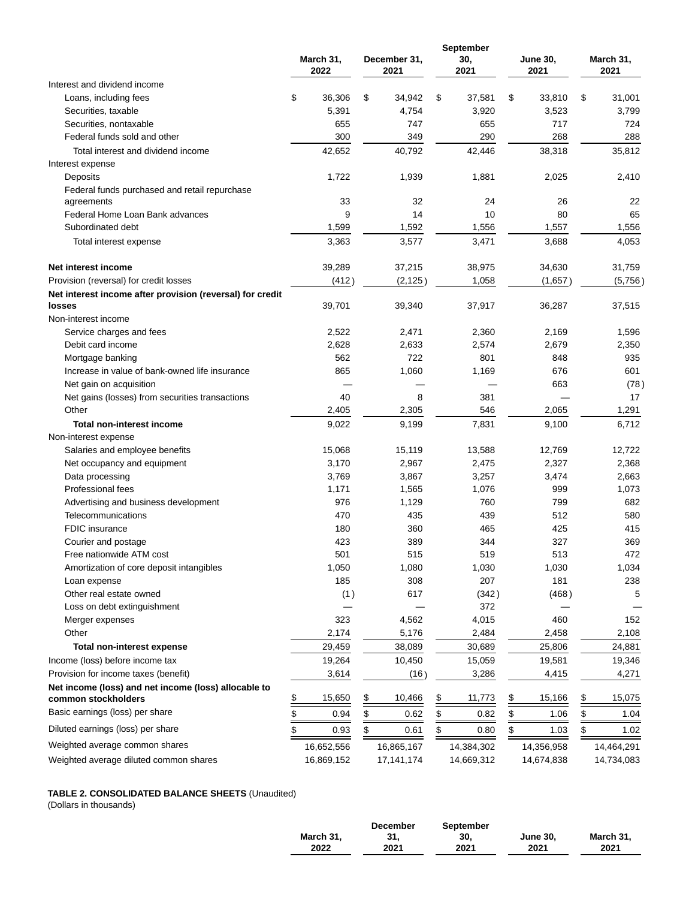|                                                                      | March 31,<br>2022 | December 31,<br>2021 | <b>September</b><br>30,<br>2021     | <b>June 30,</b><br>2021 | March 31,<br>2021     |
|----------------------------------------------------------------------|-------------------|----------------------|-------------------------------------|-------------------------|-----------------------|
| Interest and dividend income                                         |                   |                      |                                     |                         |                       |
| Loans, including fees                                                | \$<br>36,306      | \$<br>34,942         | \$<br>37,581                        | \$<br>33,810            | \$<br>31,001          |
| Securities, taxable                                                  | 5,391             | 4,754                | 3,920                               | 3,523                   | 3,799                 |
| Securities, nontaxable                                               | 655               | 747                  | 655                                 | 717                     | 724                   |
| Federal funds sold and other                                         | 300               | 349                  | 290                                 | 268                     | 288                   |
| Total interest and dividend income                                   | 42,652            | 40,792               | 42,446                              | 38,318                  | 35,812                |
| Interest expense                                                     |                   |                      |                                     |                         |                       |
| Deposits                                                             | 1,722             | 1,939                | 1,881                               | 2,025                   | 2,410                 |
| Federal funds purchased and retail repurchase                        |                   |                      |                                     |                         |                       |
| agreements                                                           | 33                | 32                   | 24                                  | 26                      | 22                    |
| Federal Home Loan Bank advances                                      | 9                 | 14                   | 10                                  | 80                      | 65                    |
| Subordinated debt                                                    | 1,599             | 1,592                | 1,556                               | 1,557                   | 1,556                 |
| Total interest expense                                               | 3,363             | 3,577                | 3,471                               | 3,688                   | 4,053                 |
| Net interest income                                                  | 39,289            | 37,215               | 38,975                              | 34,630                  | 31,759                |
| Provision (reversal) for credit losses                               | (412)             | (2, 125)             | 1,058                               | (1,657)                 | (5,756)               |
| Net interest income after provision (reversal) for credit<br>losses  | 39,701            | 39,340               | 37,917                              | 36,287                  | 37,515                |
| Non-interest income                                                  |                   |                      |                                     |                         |                       |
| Service charges and fees                                             | 2,522             | 2,471                | 2,360                               | 2,169                   | 1,596                 |
| Debit card income                                                    | 2,628             | 2,633                | 2,574                               | 2,679                   | 2,350                 |
| Mortgage banking                                                     | 562               | 722                  | 801                                 | 848                     | 935                   |
| Increase in value of bank-owned life insurance                       | 865               | 1,060                | 1,169                               | 676                     | 601                   |
| Net gain on acquisition                                              |                   |                      |                                     | 663                     | (78)                  |
| Net gains (losses) from securities transactions                      | 40                | 8                    | 381                                 |                         | 17                    |
| Other                                                                | 2,405             | 2,305                | 546                                 | 2,065                   | 1,291                 |
| <b>Total non-interest income</b>                                     | 9,022             | 9,199                | 7,831                               | 9,100                   | 6,712                 |
| Non-interest expense                                                 |                   |                      |                                     |                         |                       |
| Salaries and employee benefits                                       | 15,068            | 15,119               | 13,588                              | 12,769                  | 12,722                |
| Net occupancy and equipment                                          | 3,170             | 2,967                | 2,475                               | 2,327                   | 2,368                 |
| Data processing                                                      | 3,769             | 3,867                | 3,257                               | 3,474                   | 2,663                 |
| Professional fees                                                    | 1,171             | 1,565                | 1,076                               | 999                     | 1,073                 |
| Advertising and business development                                 | 976               | 1,129                | 760                                 | 799                     | 682                   |
| Telecommunications                                                   | 470               | 435                  | 439                                 | 512                     | 580                   |
| <b>FDIC</b> insurance                                                | 180               | 360                  | 465                                 | 425                     | 415                   |
| Courier and postage                                                  | 423               | 389                  | 344                                 | 327                     | 369                   |
| Free nationwide ATM cost                                             | 501               | 515                  | 519                                 | 513                     | 472                   |
| Amortization of core deposit intangibles                             | 1,050             | 1,080                | 1,030                               | 1,030                   | 1,034                 |
| Loan expense                                                         | 185               | 308                  | 207                                 | 181                     | 238                   |
| Other real estate owned                                              | (1)               | 617                  | (342)                               | (468)                   | 5                     |
| Loss on debt extinguishment                                          |                   |                      | 372                                 |                         |                       |
| Merger expenses                                                      | 323               | 4,562                | 4,015                               | 460                     | 152                   |
| Other                                                                | 2,174             | 5,176                | 2,484                               | 2,458                   | 2,108                 |
| <b>Total non-interest expense</b>                                    | 29,459            | 38,089               | 30,689                              | 25,806                  | 24,881                |
|                                                                      |                   |                      |                                     |                         |                       |
| Income (loss) before income tax                                      | 19,264            | 10,450               | 15,059                              | 19,581                  | 19,346                |
| Provision for income taxes (benefit)                                 | 3,614             | (16)                 | 3,286                               | 4,415                   | 4,271                 |
| Net income (loss) and net income (loss) allocable to                 | \$<br>15,650      | \$<br>10,466         | \$<br>11,773                        | 15,166                  | 15,075<br>\$          |
| common stockholders                                                  |                   |                      |                                     | $\frac{3}{2}$           |                       |
| Basic earnings (loss) per share<br>Diluted earnings (loss) per share | \$<br>0.94        | \$<br>0.62           | $\frac{\text{L}}{\text{L}}$<br>0.82 | \$<br>1.06              | $\frac{1}{2}$<br>1.04 |
|                                                                      | \$<br>0.93        | \$<br>0.61           | \$<br>0.80                          | \$<br>1.03              | \$<br>1.02            |
| Weighted average common shares                                       | 16,652,556        | 16,865,167           | 14,384,302                          | 14,356,958              | 14,464,291            |
| Weighted average diluted common shares                               | 16,869,152        | 17, 141, 174         | 14,669,312                          | 14,674,838              | 14,734,083            |

#### **TABLE 2. CONSOLIDATED BALANCE SHEETS** (Unaudited)

(Dollars in thousands)

|           | <b>December</b> | September |                 |           |
|-----------|-----------------|-----------|-----------------|-----------|
| March 31. | 31.             | 30.       | <b>June 30.</b> | March 31. |
| 2022      | 2021            | 2021      | 2021            | 2021      |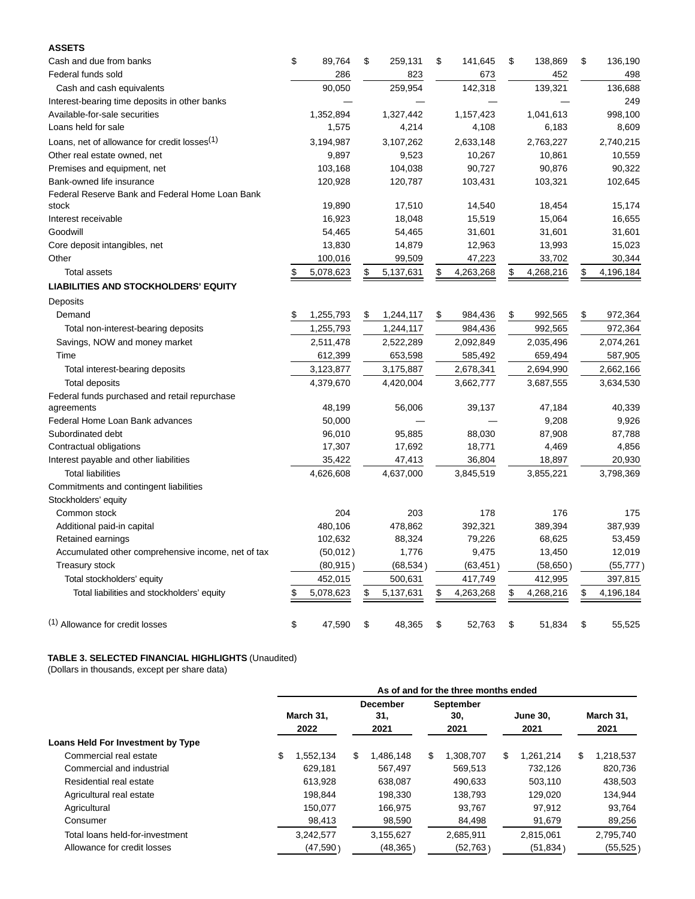# **ASSETS**

| Cash and due from banks<br>Federal funds sold            | \$<br>89,764<br>286 | \$<br>259,131<br>823 | \$<br>141,645<br>673 | \$            | 138,869<br>452 | \$<br>136,190<br>498 |
|----------------------------------------------------------|---------------------|----------------------|----------------------|---------------|----------------|----------------------|
| Cash and cash equivalents                                | 90,050              | 259,954              | 142,318              |               | 139,321        | 136,688              |
| Interest-bearing time deposits in other banks            |                     |                      |                      |               |                | 249                  |
| Available-for-sale securities                            | 1,352,894           | 1,327,442            | 1,157,423            |               | 1,041,613      | 998,100              |
| Loans held for sale                                      | 1,575               | 4,214                | 4,108                |               | 6,183          | 8,609                |
| Loans, net of allowance for credit losses <sup>(1)</sup> | 3,194,987           | 3,107,262            | 2,633,148            |               | 2,763,227      | 2,740,215            |
| Other real estate owned, net                             | 9,897               | 9,523                | 10,267               |               | 10,861         | 10,559               |
| Premises and equipment, net                              | 103,168             | 104,038              | 90,727               |               | 90,876         | 90,322               |
| Bank-owned life insurance                                | 120,928             | 120,787              | 103,431              |               | 103,321        | 102,645              |
| Federal Reserve Bank and Federal Home Loan Bank          |                     |                      |                      |               |                |                      |
| stock                                                    | 19,890              | 17,510               | 14,540               |               | 18,454         | 15,174               |
| Interest receivable                                      | 16,923              | 18,048               | 15,519               |               | 15,064         | 16,655               |
| Goodwill                                                 | 54,465              | 54,465               | 31,601               |               | 31,601         | 31,601               |
| Core deposit intangibles, net                            | 13,830              | 14,879               | 12,963               |               | 13,993         | 15,023               |
| Other                                                    | 100,016             | 99,509               | 47,223               |               | 33,702         | 30,344               |
| <b>Total assets</b>                                      | \$<br>5,078,623     | \$<br>5,137,631      | \$<br>4,263,268      | \$            | 4,268,216      | \$<br>4,196,184      |
| <b>LIABILITIES AND STOCKHOLDERS' EQUITY</b>              |                     |                      |                      |               |                |                      |
| Deposits                                                 |                     |                      |                      |               |                |                      |
| Demand                                                   | \$<br>1,255,793     | \$<br>1,244,117      | \$<br>984,436        | $\frac{1}{2}$ | 992,565        | \$<br>972,364        |
| Total non-interest-bearing deposits                      | 1,255,793           | 1,244,117            | 984,436              |               | 992,565        | 972,364              |
| Savings, NOW and money market                            | 2,511,478           | 2,522,289            | 2,092,849            |               | 2,035,496      | 2,074,261            |
| Time                                                     | 612,399             | 653,598              | 585,492              |               | 659,494        | 587,905              |
| Total interest-bearing deposits                          | 3,123,877           | 3,175,887            | 2,678,341            |               | 2,694,990      | 2,662,166            |
| <b>Total deposits</b>                                    | 4,379,670           | 4,420,004            | 3,662,777            |               | 3,687,555      | 3,634,530            |
| Federal funds purchased and retail repurchase            |                     |                      |                      |               |                |                      |
| agreements                                               | 48,199              | 56,006               | 39,137               |               | 47,184         | 40,339               |
| Federal Home Loan Bank advances                          | 50,000              |                      |                      |               | 9,208          | 9,926                |
| Subordinated debt                                        | 96,010              | 95,885               | 88,030               |               | 87,908         | 87,788               |
| Contractual obligations                                  | 17,307              | 17,692               | 18,771               |               | 4,469          | 4,856                |
| Interest payable and other liabilities                   | 35,422              | 47,413               | 36,804               |               | 18,897         | 20,930               |
| <b>Total liabilities</b>                                 | 4,626,608           | 4,637,000            | 3,845,519            |               | 3,855,221      | 3,798,369            |
| Commitments and contingent liabilities                   |                     |                      |                      |               |                |                      |
| Stockholders' equity                                     |                     |                      |                      |               |                |                      |
| Common stock                                             | 204                 | 203                  | 178                  |               | 176            | 175                  |
| Additional paid-in capital                               | 480,106             | 478,862              | 392,321              |               | 389,394        | 387,939              |
| Retained earnings                                        | 102,632             | 88,324               | 79,226               |               | 68,625         | 53,459               |
| Accumulated other comprehensive income, net of tax       | (50,012)            | 1,776                | 9,475                |               | 13,450         | 12,019               |
| <b>Treasury stock</b>                                    | (80, 915)           | (68, 534)            | (63, 451)            |               | (58, 650)      | (55, 777)            |
| Total stockholders' equity                               | 452,015             | 500,631              | 417,749              |               | 412,995        | 397,815              |
| Total liabilities and stockholders' equity               | \$<br>5,078,623     | \$<br>5,137,631      | \$<br>4,263,268      | \$            | 4,268,216      | \$<br>4,196,184      |
|                                                          |                     |                      |                      |               |                |                      |
| <sup>(1)</sup> Allowance for credit losses               | \$<br>47,590        | \$<br>48,365         | \$<br>52,763         | \$            | 51,834         | \$<br>55,525         |

# **TABLE 3. SELECTED FINANCIAL HIGHLIGHTS** (Unaudited)

(Dollars in thousands, except per share data)

|                                   | As of and for the three months ended |           |    |                                |    |                                 |    |                         |     |                   |  |  |  |
|-----------------------------------|--------------------------------------|-----------|----|--------------------------------|----|---------------------------------|----|-------------------------|-----|-------------------|--|--|--|
|                                   | March 31,<br>2022                    |           |    | <b>December</b><br>31.<br>2021 |    | <b>September</b><br>30.<br>2021 |    | <b>June 30.</b><br>2021 |     | March 31,<br>2021 |  |  |  |
| Loans Held For Investment by Type |                                      |           |    |                                |    |                                 |    |                         |     |                   |  |  |  |
| Commercial real estate            | \$                                   | 1,552,134 | \$ | 1,486,148                      | \$ | .308,707                        | \$ | 1.261.214               | \$. | 1,218,537         |  |  |  |
| Commercial and industrial         |                                      | 629.181   |    | 567.497                        |    | 569,513                         |    | 732.126                 |     | 820,736           |  |  |  |
| Residential real estate           |                                      | 613,928   |    | 638,087                        |    | 490.633                         |    | 503,110                 |     | 438,503           |  |  |  |
| Agricultural real estate          |                                      | 198.844   |    | 198.330                        |    | 138.793                         |    | 129.020                 |     | 134,944           |  |  |  |
| Agricultural                      |                                      | 150.077   |    | 166,975                        |    | 93,767                          |    | 97,912                  |     | 93,764            |  |  |  |
| Consumer                          |                                      | 98,413    |    | 98,590                         |    | 84,498                          |    | 91,679                  |     | 89,256            |  |  |  |
| Total loans held-for-investment   |                                      | 3,242,577 |    | 3,155,627                      |    | 2,685,911                       |    | 2,815,061               |     | 2,795,740         |  |  |  |
| Allowance for credit losses       |                                      | (47, 590) |    | (48, 365)                      |    | (52, 763)                       |    | (51, 834)               |     | (55, 525)         |  |  |  |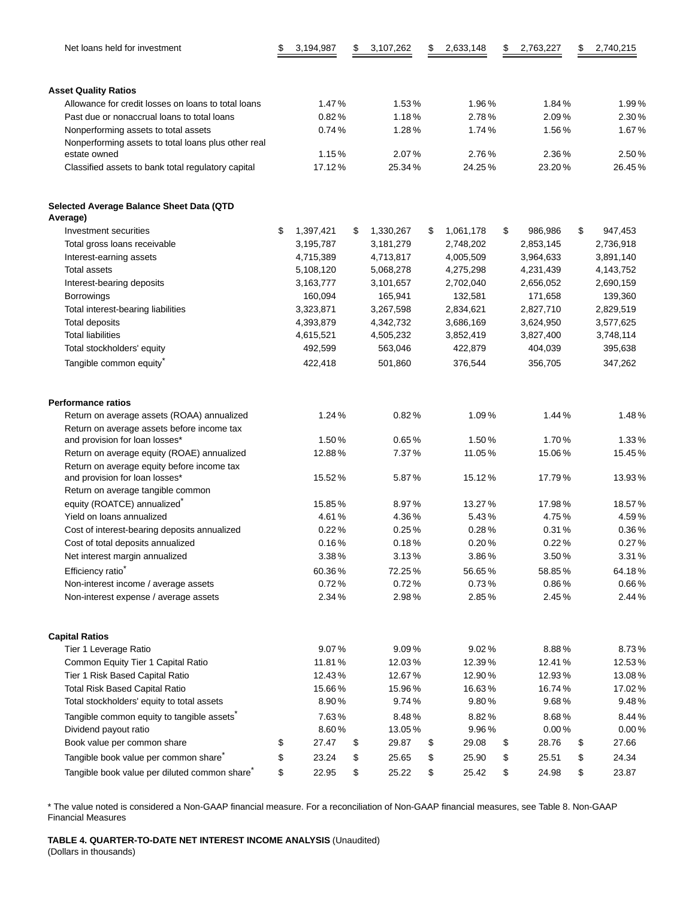| Net loans held for investment                                                      | \$<br>3,194,987        | \$. | 3,107,262              | \$<br>2,633,148        | \$<br>2,763,227      | \$<br>2,740,215      |
|------------------------------------------------------------------------------------|------------------------|-----|------------------------|------------------------|----------------------|----------------------|
|                                                                                    |                        |     |                        |                        |                      |                      |
| <b>Asset Quality Ratios</b><br>Allowance for credit losses on loans to total loans | 1.47%                  |     | 1.53%                  | 1.96%                  | 1.84%                | 1.99%                |
| Past due or nonaccrual loans to total loans                                        | 0.82%                  |     | 1.18%                  | 2.78%                  | 2.09%                | 2.30%                |
| Nonperforming assets to total assets                                               | 0.74%                  |     | 1.28%                  | 1.74%                  | 1.56%                | 1.67%                |
| Nonperforming assets to total loans plus other real                                |                        |     |                        |                        |                      |                      |
| estate owned                                                                       | 1.15%                  |     | 2.07%                  | 2.76%                  | 2.36%                | 2.50%                |
| Classified assets to bank total regulatory capital                                 | 17.12%                 |     | 25.34%                 | 24.25%                 | 23.20%               | 26.45%               |
| Selected Average Balance Sheet Data (QTD                                           |                        |     |                        |                        |                      |                      |
| Average)                                                                           |                        |     |                        |                        |                      |                      |
| Investment securities                                                              | \$<br>1,397,421        | \$  | 1,330,267              | \$<br>1,061,178        | \$<br>986,986        | \$<br>947,453        |
| Total gross loans receivable                                                       | 3,195,787              |     | 3,181,279              | 2,748,202              | 2,853,145            | 2,736,918            |
| Interest-earning assets                                                            | 4,715,389              |     | 4,713,817              | 4,005,509              | 3,964,633            | 3,891,140            |
| Total assets                                                                       | 5,108,120<br>3,163,777 |     | 5,068,278<br>3,101,657 | 4,275,298<br>2,702,040 | 4,231,439            | 4,143,752            |
| Interest-bearing deposits<br><b>Borrowings</b>                                     | 160,094                |     | 165,941                | 132,581                | 2,656,052<br>171,658 | 2,690,159<br>139,360 |
| Total interest-bearing liabilities                                                 | 3,323,871              |     | 3,267,598              | 2,834,621              | 2,827,710            | 2,829,519            |
| <b>Total deposits</b>                                                              | 4,393,879              |     | 4,342,732              | 3,686,169              | 3,624,950            | 3,577,625            |
| <b>Total liabilities</b>                                                           | 4,615,521              |     | 4,505,232              | 3,852,419              | 3,827,400            | 3,748,114            |
| Total stockholders' equity                                                         | 492,599                |     | 563,046                | 422,879                | 404,039              | 395,638              |
| Tangible common equity <sup>®</sup>                                                | 422,418                |     | 501.860                | 376,544                | 356.705              | 347,262              |
|                                                                                    |                        |     |                        |                        |                      |                      |
| <b>Performance ratios</b><br>Return on average assets (ROAA) annualized            | 1.24%                  |     | 0.82%                  | 1.09%                  | 1.44 %               | 1.48%                |
| Return on average assets before income tax                                         |                        |     |                        |                        |                      |                      |
| and provision for loan losses*                                                     | 1.50%                  |     | 0.65%                  | 1.50%                  | 1.70%                | 1.33%                |
| Return on average equity (ROAE) annualized                                         | 12.88%                 |     | 7.37%                  | 11.05%                 | 15.06%               | 15.45%               |
| Return on average equity before income tax<br>and provision for loan losses*       | 15.52%                 |     | 5.87%                  | 15.12%                 | 17.79%               | 13.93%               |
| Return on average tangible common                                                  |                        |     |                        |                        |                      |                      |
| equity (ROATCE) annualized <sup>®</sup>                                            | 15.85%                 |     | 8.97%                  | 13.27%                 | 17.98%               | 18.57%               |
| Yield on loans annualized                                                          | 4.61%                  |     | 4.36%                  | 5.43%                  | 4.75%                | 4.59%                |
| Cost of interest-bearing deposits annualized                                       | 0.22%                  |     | 0.25%                  | 0.28%                  | 0.31%                | 0.36%                |
| Cost of total deposits annualized                                                  | 0.16%                  |     | 0.18%                  | 0.20%                  | 0.22%                | 0.27%                |
| Net interest margin annualized                                                     | 3.38%                  |     | 3.13%                  | 3.86%                  | 3.50%                | 3.31%                |
| Efficiency ratio*                                                                  | 60.36%                 |     | 72.25%                 | 56.65%                 | 58.85%               | 64.18%               |
| Non-interest income / average assets                                               | 0.72%                  |     | 0.72%                  | 0.73%                  | 0.86%                | 0.66%                |
| Non-interest expense / average assets                                              | 2.34%                  |     | 2.98%                  | 2.85%                  | 2.45%                | 2.44%                |
| <b>Capital Ratios</b>                                                              |                        |     |                        |                        |                      |                      |
| Tier 1 Leverage Ratio                                                              | 9.07%                  |     | 9.09%                  | 9.02%                  | 8.88%                | 8.73%                |
| Common Equity Tier 1 Capital Ratio                                                 | 11.81%                 |     | 12.03%                 | 12.39%                 | 12.41%               | 12.53%               |
| Tier 1 Risk Based Capital Ratio                                                    | 12.43%                 |     | 12.67%                 | 12.90%                 | 12.93%               | 13.08%               |
| <b>Total Risk Based Capital Ratio</b>                                              | 15.66%                 |     | 15.96%                 | 16.63%                 | 16.74%               | 17.02%               |
| Total stockholders' equity to total assets                                         | 8.90%                  |     | 9.74%                  | 9.80%                  | 9.68%                | 9.48%                |
| Tangible common equity to tangible assets <sup>®</sup>                             | 7.63%                  |     | 8.48%                  | 8.82%                  | 8.68%                | 8.44%                |
| Dividend payout ratio                                                              | 8.60%                  |     | 13.05%                 | 9.96%                  | 0.00%                | 0.00%                |
| Book value per common share                                                        | \$<br>27.47            | \$  | 29.87                  | \$<br>29.08            | \$<br>28.76          | \$<br>27.66          |
| Tangible book value per common share <sup>®</sup>                                  | \$<br>23.24            | \$  | 25.65                  | \$<br>25.90            | \$<br>25.51          | \$<br>24.34          |
| Tangible book value per diluted common share <sup>*</sup>                          | \$<br>22.95            | \$  | 25.22                  | \$<br>25.42            | \$<br>24.98          | \$<br>23.87          |

\* The value noted is considered a Non-GAAP financial measure. For a reconciliation of Non-GAAP financial measures, see Table 8. Non-GAAP Financial Measures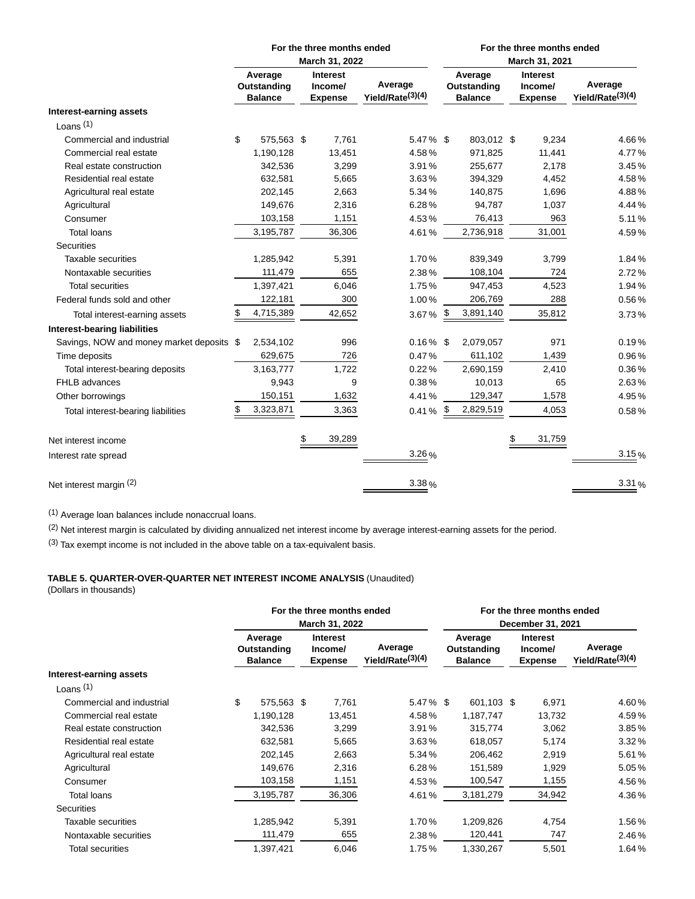|                                           |    |                                          |    | For the three months ended                   |                                         | For the three months ended |                                          |    |                                       |                                         |  |  |  |  |
|-------------------------------------------|----|------------------------------------------|----|----------------------------------------------|-----------------------------------------|----------------------------|------------------------------------------|----|---------------------------------------|-----------------------------------------|--|--|--|--|
|                                           |    |                                          |    | March 31, 2022                               |                                         |                            | March 31, 2021                           |    |                                       |                                         |  |  |  |  |
|                                           |    | Average<br>Outstanding<br><b>Balance</b> |    | <b>Interest</b><br>Income/<br><b>Expense</b> | Average<br>Yield/Rate <sup>(3)(4)</sup> |                            | Average<br>Outstanding<br><b>Balance</b> |    | Interest<br>Income/<br><b>Expense</b> | Average<br>Yield/Rate <sup>(3)(4)</sup> |  |  |  |  |
| Interest-earning assets                   |    |                                          |    |                                              |                                         |                            |                                          |    |                                       |                                         |  |  |  |  |
| Loans $(1)$                               |    |                                          |    |                                              |                                         |                            |                                          |    |                                       |                                         |  |  |  |  |
| Commercial and industrial                 | \$ | 575,563 \$                               |    | 7,761                                        | 5.47% \$                                |                            | 803,012 \$                               |    | 9,234                                 | 4.66%                                   |  |  |  |  |
| Commercial real estate                    |    | 1,190,128                                |    | 13,451                                       | 4.58%                                   |                            | 971,825                                  |    | 11,441                                | 4.77%                                   |  |  |  |  |
| Real estate construction                  |    | 342,536                                  |    | 3,299                                        | 3.91%                                   |                            | 255,677                                  |    | 2,178                                 | 3.45%                                   |  |  |  |  |
| Residential real estate                   |    | 632,581                                  |    | 5,665                                        | 3.63%                                   |                            | 394,329                                  |    | 4,452                                 | 4.58%                                   |  |  |  |  |
| Agricultural real estate                  |    | 202,145                                  |    | 2,663                                        | 5.34%                                   |                            | 140,875                                  |    | 1,696                                 | 4.88%                                   |  |  |  |  |
| Agricultural                              |    | 149,676                                  |    | 2,316                                        | 6.28%                                   |                            | 94,787                                   |    | 1,037                                 | 4.44%                                   |  |  |  |  |
| Consumer                                  |    | 103,158                                  |    | 1,151                                        | 4.53%                                   |                            | 76,413                                   |    | 963                                   | 5.11%                                   |  |  |  |  |
| <b>Total loans</b>                        |    | 3,195,787                                |    | 36,306                                       | 4.61%                                   |                            | 2,736,918                                |    | 31,001                                | 4.59%                                   |  |  |  |  |
| <b>Securities</b>                         |    |                                          |    |                                              |                                         |                            |                                          |    |                                       |                                         |  |  |  |  |
| Taxable securities                        |    | 1,285,942                                |    | 5,391                                        | 1.70%                                   |                            | 839,349                                  |    | 3,799                                 | 1.84%                                   |  |  |  |  |
| Nontaxable securities                     |    | 111,479                                  |    | 655                                          | 2.38%                                   |                            | 108,104                                  |    | 724                                   | 2.72%                                   |  |  |  |  |
| <b>Total securities</b>                   |    | 1,397,421                                |    | 6,046                                        | 1.75%                                   |                            | 947,453                                  |    | 4,523                                 | 1.94%                                   |  |  |  |  |
| Federal funds sold and other              |    | 122,181                                  |    | 300                                          | 1.00%                                   |                            | 206,769                                  |    | 288                                   | 0.56%                                   |  |  |  |  |
| Total interest-earning assets             |    | 4,715,389                                |    | 42,652                                       | 3.67%                                   |                            | 3,891,140                                |    | 35,812                                | 3.73%                                   |  |  |  |  |
| <b>Interest-bearing liabilities</b>       |    |                                          |    |                                              |                                         |                            |                                          |    |                                       |                                         |  |  |  |  |
| Savings, NOW and money market deposits \$ |    | 2,534,102                                |    | 996                                          | $0.16\%$ \$                             |                            | 2,079,057                                |    | 971                                   | 0.19%                                   |  |  |  |  |
| Time deposits                             |    | 629,675                                  |    | 726                                          | 0.47%                                   |                            | 611,102                                  |    | 1,439                                 | 0.96%                                   |  |  |  |  |
| Total interest-bearing deposits           |    | 3,163,777                                |    | 1,722                                        | 0.22%                                   |                            | 2,690,159                                |    | 2,410                                 | 0.36%                                   |  |  |  |  |
| FHLB advances                             |    | 9,943                                    |    | 9                                            | 0.38%                                   |                            | 10,013                                   |    | 65                                    | 2.63%                                   |  |  |  |  |
| Other borrowings                          |    | 150,151                                  |    | 1,632                                        | 4.41%                                   |                            | 129,347                                  |    | 1,578                                 | 4.95%                                   |  |  |  |  |
| Total interest-bearing liabilities        |    | 3,323,871                                |    | 3,363                                        | 0.41%                                   |                            | 2,829,519                                |    | 4,053                                 | 0.58%                                   |  |  |  |  |
| Net interest income                       |    |                                          | \$ | 39,289                                       |                                         |                            |                                          | \$ | 31,759                                |                                         |  |  |  |  |
| Interest rate spread                      |    |                                          |    |                                              | 3.26%                                   |                            |                                          |    |                                       | 3.15%                                   |  |  |  |  |
| Net interest margin (2)                   |    |                                          |    |                                              | $3.38\%$                                |                            |                                          |    |                                       | 3.31%                                   |  |  |  |  |

(1) Average loan balances include nonaccrual loans.

(2) Net interest margin is calculated by dividing annualized net interest income by average interest-earning assets for the period.

(3) Tax exempt income is not included in the above table on a tax-equivalent basis.

#### **TABLE 5. QUARTER-OVER-QUARTER NET INTEREST INCOME ANALYSIS** (Unaudited)

(Dollars in thousands)

|                           |                                              |                                         | For the three months ended                   |                                              |                                         |  |  |  |  |  |  |
|---------------------------|----------------------------------------------|-----------------------------------------|----------------------------------------------|----------------------------------------------|-----------------------------------------|--|--|--|--|--|--|
|                           |                                              |                                         | December 31, 2021                            |                                              |                                         |  |  |  |  |  |  |
| Average<br><b>Balance</b> | <b>Interest</b><br>Income/<br><b>Expense</b> | Average<br>Yield/Rate <sup>(3)(4)</sup> | Average<br>Outstanding<br><b>Balance</b>     | <b>Interest</b><br>Income/<br><b>Expense</b> | Average<br>Yield/Rate <sup>(3)(4)</sup> |  |  |  |  |  |  |
|                           |                                              |                                         |                                              |                                              |                                         |  |  |  |  |  |  |
|                           |                                              |                                         |                                              |                                              |                                         |  |  |  |  |  |  |
|                           | 7,761                                        |                                         |                                              | 6,971                                        | 4.60%                                   |  |  |  |  |  |  |
| 1,190,128                 | 13,451                                       | 4.58%                                   | 1,187,747                                    | 13,732                                       | 4.59%                                   |  |  |  |  |  |  |
| 342,536                   | 3,299                                        | 3.91%                                   | 315,774                                      | 3,062                                        | 3.85%                                   |  |  |  |  |  |  |
| 632,581                   | 5,665                                        | 3.63%                                   | 618,057                                      | 5,174                                        | 3.32%                                   |  |  |  |  |  |  |
| 202,145                   | 2,663                                        | 5.34%                                   | 206,462                                      | 2,919                                        | 5.61%                                   |  |  |  |  |  |  |
| 149,676                   | 2,316                                        | 6.28%                                   | 151,589                                      | 1,929                                        | 5.05%                                   |  |  |  |  |  |  |
| 103,158                   | 1,151                                        | 4.53%                                   | 100,547                                      | 1,155                                        | 4.56%                                   |  |  |  |  |  |  |
| 3,195,787                 | 36,306                                       |                                         | 3,181,279                                    | 34,942                                       | 4.36%                                   |  |  |  |  |  |  |
|                           |                                              |                                         |                                              |                                              |                                         |  |  |  |  |  |  |
| 1,285,942                 | 5,391                                        | 1.70%                                   | 1,209,826                                    | 4,754                                        | 1.56%                                   |  |  |  |  |  |  |
| 111,479                   | 655                                          | 2.38%                                   | 120,441                                      | 747                                          | 2.46%                                   |  |  |  |  |  |  |
| 1,397,421                 | 6,046                                        | 1.75%                                   | 1,330,267                                    | 5,501                                        | 1.64%                                   |  |  |  |  |  |  |
|                           | Outstanding<br>\$                            | 575,563 \$                              | For the three months ended<br>March 31, 2022 | $5.47\%$ \$<br>4.61%                         | 601,103 \$                              |  |  |  |  |  |  |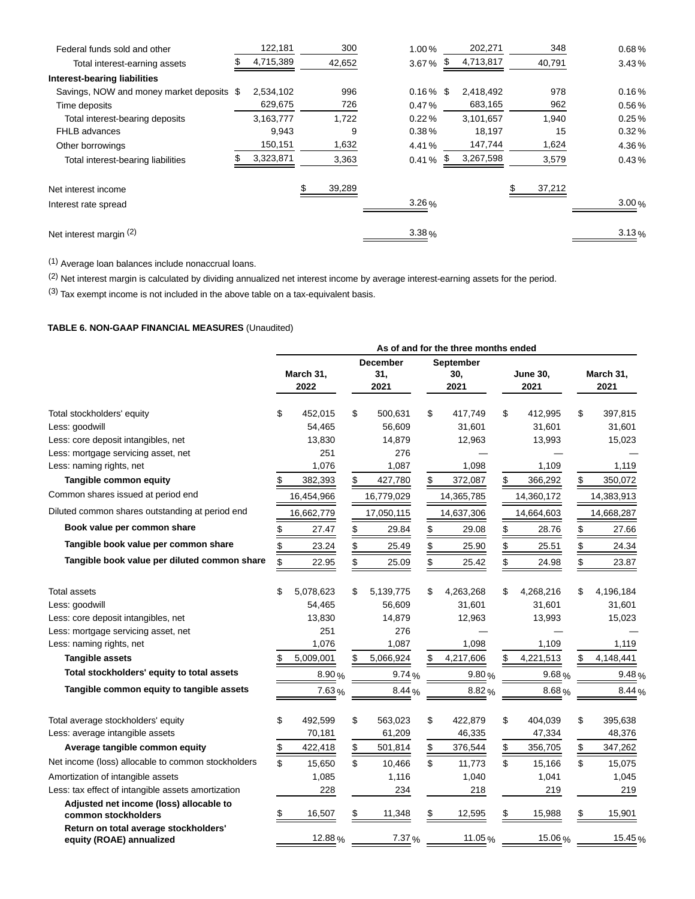| Federal funds sold and other              | 122,181   | 300    | 1.00%       | 202,271   | 348    | 0.68%    |
|-------------------------------------------|-----------|--------|-------------|-----------|--------|----------|
| Total interest-earning assets             | 4,715,389 | 42,652 | 3.67%       | 4,713,817 | 40,791 | 3.43%    |
| <b>Interest-bearing liabilities</b>       |           |        |             |           |        |          |
| Savings, NOW and money market deposits \$ | 2,534,102 | 996    | $0.16\%$ \$ | 2,418,492 | 978    | 0.16%    |
| Time deposits                             | 629,675   | 726    | 0.47%       | 683,165   | 962    | 0.56%    |
| Total interest-bearing deposits           | 3,163,777 | 1,722  | 0.22%       | 3,101,657 | 1,940  | 0.25%    |
| FHLB advances                             | 9,943     | 9      | 0.38%       | 18,197    | 15     | 0.32%    |
| Other borrowings                          | 150,151   | 1,632  | 4.41%       | 147,744   | 1,624  | 4.36%    |
| Total interest-bearing liabilities        | 3,323,871 | 3,363  | 0.41%       | 3,267,598 | 3,579  | 0.43%    |
| Net interest income                       |           | 39,289 |             |           | 37,212 |          |
| Interest rate spread                      |           |        | $3.26\%$    |           |        | $3.00\%$ |
| Net interest margin (2)                   |           |        | $3.38\%$    |           |        | 3.13%    |

(1) Average loan balances include nonaccrual loans.

(2) Net interest margin is calculated by dividing annualized net interest income by average interest-earning assets for the period.

(3) Tax exempt income is not included in the above table on a tax-equivalent basis.

# **TABLE 6. NON-GAAP FINANCIAL MEASURES** (Unaudited)

|                                                                   | As of and for the three months ended |                   |    |                                |    |                          |                         |            |    |                   |
|-------------------------------------------------------------------|--------------------------------------|-------------------|----|--------------------------------|----|--------------------------|-------------------------|------------|----|-------------------|
|                                                                   |                                      | March 31,<br>2022 |    | <b>December</b><br>31,<br>2021 |    | September<br>30,<br>2021 | <b>June 30,</b><br>2021 |            |    | March 31,<br>2021 |
| Total stockholders' equity                                        | \$                                   | 452,015           | \$ | 500,631                        | \$ | 417,749                  | \$                      | 412,995    | \$ | 397,815           |
| Less: goodwill                                                    |                                      | 54,465            |    | 56,609                         |    | 31,601                   |                         | 31,601     |    | 31,601            |
| Less: core deposit intangibles, net                               |                                      | 13,830            |    | 14,879                         |    | 12,963                   |                         | 13,993     |    | 15,023            |
| Less: mortgage servicing asset, net                               |                                      | 251               |    | 276                            |    |                          |                         |            |    |                   |
| Less: naming rights, net                                          |                                      | 1,076             |    | 1,087                          |    | 1,098                    |                         | 1,109      |    | 1,119             |
| Tangible common equity                                            | S                                    | 382,393           | \$ | 427,780                        |    | 372,087                  | \$                      | 366,292    | \$ | 350,072           |
| Common shares issued at period end                                |                                      | 16,454,966        |    | 16,779,029                     |    | 14,365,785               |                         | 14,360,172 |    | 14,383,913        |
| Diluted common shares outstanding at period end                   |                                      | 16,662,779        |    | 17,050,115                     |    | 14,637,306               |                         | 14,664,603 |    | 14,668,287        |
| Book value per common share                                       | \$                                   | 27.47             | \$ | 29.84                          | \$ | 29.08                    | \$                      | 28.76      | \$ | 27.66             |
| Tangible book value per common share                              | \$                                   | 23.24             | \$ | 25.49                          | \$ | 25.90                    | \$                      | 25.51      | \$ | 24.34             |
| Tangible book value per diluted common share                      | \$                                   | 22.95             | \$ | 25.09                          | \$ | 25.42                    | \$                      | 24.98      | \$ | 23.87             |
| Total assets                                                      | \$                                   | 5,078,623         | \$ | 5,139,775                      | \$ | 4,263,268                | \$                      | 4,268,216  | \$ | 4,196,184         |
| Less: goodwill                                                    |                                      | 54,465            |    | 56,609                         |    | 31,601                   |                         | 31,601     |    | 31,601            |
| Less: core deposit intangibles, net                               |                                      | 13,830            |    | 14,879                         |    | 12,963                   |                         | 13,993     |    | 15,023            |
| Less: mortgage servicing asset, net                               |                                      | 251               |    | 276                            |    |                          |                         |            |    |                   |
| Less: naming rights, net                                          |                                      | 1,076             |    | 1,087                          |    | 1,098                    |                         | 1,109      |    | 1,119             |
| <b>Tangible assets</b>                                            | S                                    | 5,009,001         | \$ | 5,066,924                      |    | 4,217,606                | \$                      | 4,221,513  | \$ | 4,148,441         |
| Total stockholders' equity to total assets                        |                                      | 8.90%             |    | 9.74%                          |    | 9.80%                    |                         | 9.68%      |    | 9.48%             |
| Tangible common equity to tangible assets                         |                                      | 7.63%             |    | 8.44%                          |    | 8.82%                    |                         | 8.68%      |    | 8.44%             |
| Total average stockholders' equity                                | \$                                   | 492,599           | \$ | 563,023                        | \$ | 422,879                  | \$                      | 404,039    | \$ | 395,638           |
| Less: average intangible assets                                   |                                      | 70,181            |    | 61,209                         |    | 46,335                   |                         | 47,334     |    | 48,376            |
| Average tangible common equity                                    | \$                                   | 422,418           | \$ | 501,814                        | \$ | 376,544                  | \$                      | 356,705    | \$ | 347,262           |
| Net income (loss) allocable to common stockholders                | \$                                   | 15,650            | \$ | 10,466                         | \$ | 11,773                   | \$                      | 15,166     | \$ | 15,075            |
| Amortization of intangible assets                                 |                                      | 1,085             |    | 1,116                          |    | 1,040                    |                         | 1,041      |    | 1,045             |
| Less: tax effect of intangible assets amortization                |                                      | 228               |    | 234                            |    | 218                      |                         | 219        |    | 219               |
| Adjusted net income (loss) allocable to<br>common stockholders    |                                      | 16,507            |    | 11,348                         |    | 12,595                   |                         | 15,988     |    | 15,901            |
| Return on total average stockholders'<br>equity (ROAE) annualized |                                      | 12.88%            |    | 7.37%                          |    | 11.05%                   |                         | 15.06%     |    | 15.45%            |
|                                                                   |                                      |                   |    |                                |    |                          |                         |            |    |                   |